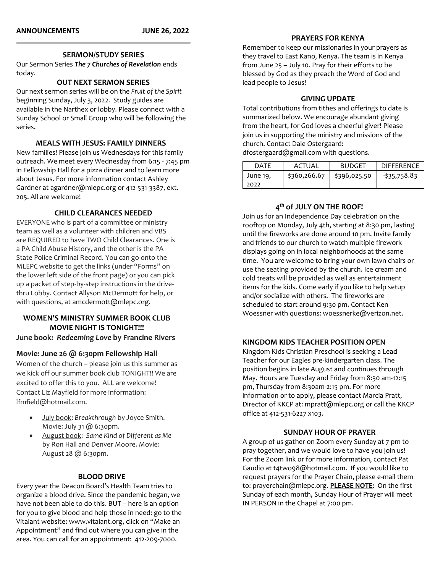#### **SERMON/STUDY SERIES**

Our Sermon Series *The 7 Churches of Revelation* ends today.

### **OUT NEXT SERMON SERIES**

Our next sermon series will be on the *Fruit of the Spirit* beginning Sunday, July 3, 2022. Study guides are available in the Narthex or lobby. Please connect with a Sunday School or Small Group who will be following the series.

### **MEALS WITH JESUS: FAMILY DINNERS**

New families! Please join us Wednesdays for this family outreach. We meet every Wednesday from 6:15 - 7:45 pm in Fellowship Hall for a pizza dinner and to learn more about Jesus. For more information contact Ashley Gardner at agardner@mlepc.org or 412-531-3387, ext. 205. All are welcome!

### **CHILD CLEARANCES NEEDED**

EVERYONE who is part of a committee or ministry team as well as a volunteer with children and VBS are REQUIRED to have TWO Child Clearances. One is a PA Child Abuse History, and the other is the PA State Police Criminal Record. You can go onto the MLEPC website to get the links (under "Forms" on the lower left side of the front page) or you can pick up a packet of step-by-step instructions in the drivethru Lobby. Contact Allyson McDermott for help, or with questions, at [amcdermott@mlepc.org](mailto:amcdermott@mlepc.org).

## **WOMEN'S MINISTRY SUMMER BOOK CLUB MOVIE NIGHT IS TONIGHT!!! June book:** *Redeeming Love* **by Francine Rivers**

## **Movie: June 26 @ 6:30pm Fellowship Hall**

Women of the church – please join us this summer as we kick off our summer book club TONIGHT!! We are excited to offer this to you. ALL are welcome! Contact Liz Mayfield for more information: lfmfield@hotmail.com.

- July book: *Breakthrough* by Joyce Smith. Movie: July 31 @ 6:30pm.
- August book: *Same Kind of Different as Me* by Ron Hall and Denver Moore. Movie: August 28 @ 6:30pm.

#### **BLOOD DRIVE**

Every year the Deacon Board's Health Team tries to organize a blood drive. Since the pandemic began, we have not been able to do this. BUT – here is an option for you to give blood and help those in need: go to the Vitalant website[: www.vitalant.org](http://www.vitalant.org/), click on "Make an Appointment" and find out where you can give in the area. You can call for an appointment: 412-209-7000.

## **PRAYERS FOR KENYA**

Remember to keep our missionaries in your prayers as they travel to East Kano, Kenya. The team is in Kenya from June 25 – July 10. Pray for their efforts to be blessed by God as they preach the Word of God and lead people to Jesus!

### **GIVING UPDATE**

Total contributions from tithes and offerings to date is summarized below. We encourage abundant giving from the heart, for God loves a cheerful giver! Please join us in supporting the ministry and missions of the church. Contact Dale Ostergaard: [dfostergaard@gmail.com](mailto:dfostergaard@gmail.com) with questions.

| <b>DATF</b> | ACTUAL       | <b>BUDGET</b> | <b>DIFFERENCE</b> |
|-------------|--------------|---------------|-------------------|
| June 19.    | \$360,266.67 | \$396,025.50  | -\$35,758.83      |
| 2022        |              |               |                   |

## **4 th of JULY ON THE ROOF!**

Join us for an Independence Day celebration on the rooftop on Monday, July 4th, starting at 8:30 pm, lasting until the fireworks are done around 10 pm. Invite family and friends to our church to watch multiple firework displays going on in local neighborhoods at the same time. You are welcome to bring your own lawn chairs or use the seating provided by the church. Ice cream and cold treats will be provided as well as entertainment items for the kids. Come early if you like to help setup and/or socialize with others. The fireworks are scheduled to start around 9:30 pm. Contact Ken Woessner with questions[: woessnerke@verizon.net.](mailto:woessnerke@verizon.net)

## **KINGDOM KIDS TEACHER POSITION OPEN**

Kingdom Kids Christian Preschool is seeking a Lead Teacher for our Eagles pre-kindergarten class. The position begins in late August and continues through May. Hours are Tuesday and Friday from 8:30 am-12:15 pm, Thursday from 8:30am-2:15 pm. For more information or to apply, please contact Marcia Pratt, Director of KKCP at: [mpratt@mlepc.org](mailto:mpratt@mlepc.org) or call the KKCP office at 412-531-6227 x103.

#### **SUNDAY HOUR OF PRAYER**

A group of us gather on Zoom every Sunday at 7 pm to pray together, and we would love to have you join us! For the Zoom link or for more information, contact Pat Gaudio at [t4two98@hotmail.com.](mailto:t4two98@hotmail.com) If you would like to request prayers for the Prayer Chain, please e-mail them to[: prayerchain@mlepc.org.](mailto:prayerchain@mlepc.org) **PLEASE NOTE**: On the first Sunday of each month, Sunday Hour of Prayer will meet IN PERSON in the Chapel at 7:00 pm.